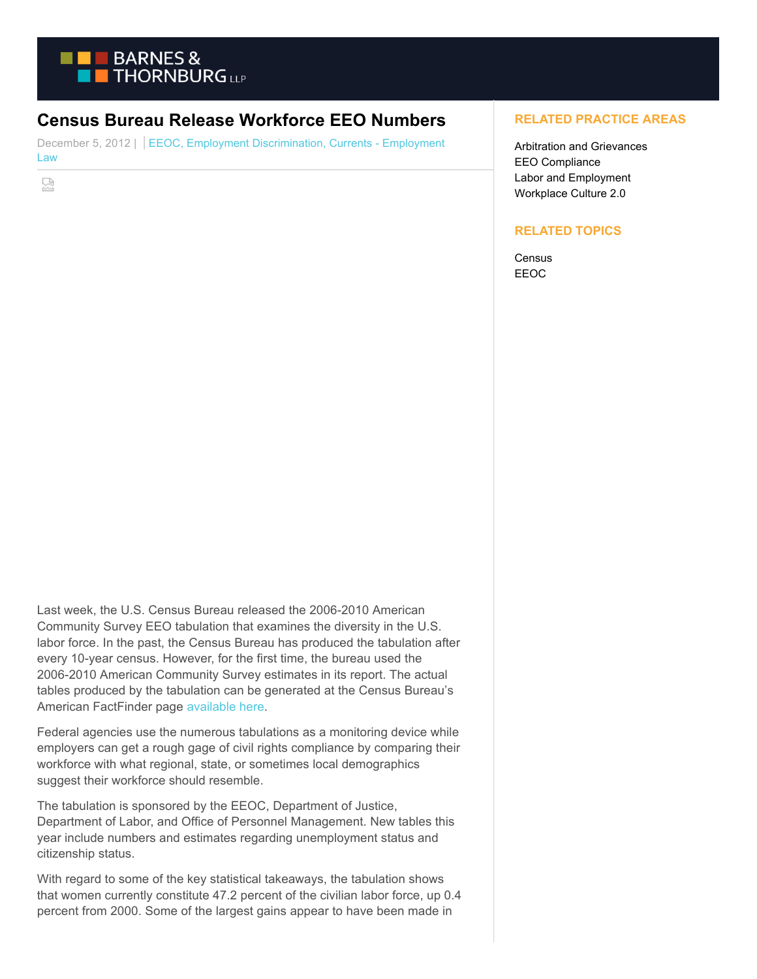

## **Census Bureau Release Workforce EEO Numbers**

December 5, 2012 | EEOC, Employment Discrimination, Currents - Employment Law

덣

## **RELATED PRACTICE AREAS**

Arbitration and Grievances EEO Compliance Labor and Employment Workplace Culture 2.0

## **RELATED TOPICS**

**Census** EEOC

Last week, the U.S. Census Bureau released the 2006-2010 American Community Survey EEO tabulation that examines the diversity in the U.S. labor force. In the past, the Census Bureau has produced the tabulation after every 10-year census. However, for the first time, the bureau used the 2006-2010 American Community Survey estimates in its report. The actual tables produced by the tabulation can be generated at the Census Bureau's American FactFinder page [available here.](http://factfinder2.census.gov/faces/nav/jsf/pages/index.xhtml)

Federal agencies use the numerous tabulations as a monitoring device while employers can get a rough gage of civil rights compliance by comparing their workforce with what regional, state, or sometimes local demographics suggest their workforce should resemble.

The tabulation is sponsored by the EEOC, Department of Justice, Department of Labor, and Office of Personnel Management. New tables this year include numbers and estimates regarding unemployment status and citizenship status.

With regard to some of the key statistical takeaways, the tabulation shows that women currently constitute 47.2 percent of the civilian labor force, up 0.4 percent from 2000. Some of the largest gains appear to have been made in